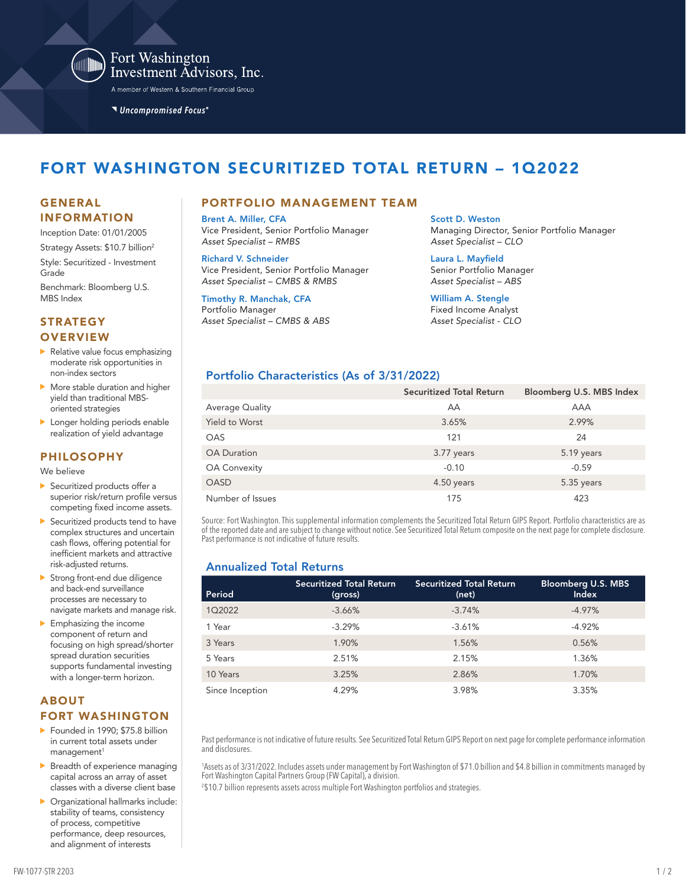

Fort Washington Investment Advisors, Inc.

A member of Western & Southern Financial Group

Uncompromised Focus®

# FORT WASHINGTON SECURITIZED TOTAL RETURN – 1Q2022

# INFORMATION

Inception Date: 01/01/2005 Strategy Assets: \$10.7 billion<sup>2</sup> Style: Securitized - Investment Grade

Benchmark: Bloomberg U.S. MBS Index

#### **STRATEGY OVERVIEW**

- Relative value focus emphasizing moderate risk opportunities in non-index sectors
- More stable duration and higher yield than traditional MBSoriented strategies
- **Longer holding periods enable** realization of yield advantage

#### PHILOSOPHY

We believe

- Securitized products offer a superior risk/return profile versus competing fixed income assets.
- Securitized products tend to have complex structures and uncertain cash flows, offering potential for inefficient markets and attractive risk-adjusted returns.
- Strong front-end due diligence and back-end surveillance processes are necessary to navigate markets and manage risk.
- $\blacktriangleright$  Emphasizing the income component of return and focusing on high spread/shorter spread duration securities supports fundamental investing with a longer-term horizon.

#### ABOUT FORT WASHINGTON

- Founded in 1990: \$75.8 billion in current total assets under management<sup>1</sup>
- Breadth of experience managing capital across an array of asset classes with a diverse client base
- Organizational hallmarks include: stability of teams, consistency of process, competitive performance, deep resources, and alignment of interests

#### GENERAL PORTFOLIO MANAGEMENT TEAM

Brent A. Miller, CFA Vice President, Senior Portfolio Manager *Asset Specialist – RMBS*

Richard V. Schneider Vice President, Senior Portfolio Manager *Asset Specialist – CMBS & RMBS*

Timothy R. Manchak, CFA Portfolio Manager *Asset Specialist – CMBS & ABS*

Scott D. Weston Managing Director, Senior Portfolio Manager *Asset Specialist – CLO*

Laura L. Mayfield Senior Portfolio Manager *Asset Specialist – ABS*

William A. Stengle Fixed Income Analyst *Asset Specialist - CLO*

### Portfolio Characteristics (As of 3/31/2022)

|                       | <b>Securitized Total Return</b> | Bloomberg U.S. MBS Index |
|-----------------------|---------------------------------|--------------------------|
| Average Quality       | AA                              | <b>AAA</b>               |
| <b>Yield to Worst</b> | 3.65%                           | 2.99%                    |
| <b>OAS</b>            | 121                             | 24                       |
| <b>OA Duration</b>    | 3.77 years                      | 5.19 years               |
| <b>OA Convexity</b>   | $-0.10$                         | $-0.59$                  |
| <b>OASD</b>           | 4.50 years                      | 5.35 years               |
| Number of Issues      | 175                             | 423                      |

Source: Fort Washington. This supplemental information complements the Securitized Total Return GIPS Report. Portfolio characteristics are as of the reported date and are subject to change without notice. See Securitized Total Return composite on the next page for complete disclosure. Past performance is not indicative of future results.

## Annualized Total Returns

| Period          | <b>Securitized Total Return</b><br>(gross) | Securitized Total Return<br>(net) | <b>Bloomberg U.S. MBS</b><br><b>Index</b> |
|-----------------|--------------------------------------------|-----------------------------------|-------------------------------------------|
| 1Q2022          | $-3.66%$                                   | $-3.74%$                          | $-4.97%$                                  |
| 1 Year          | $-3.29%$                                   | $-3.61%$                          | $-4.92%$                                  |
| 3 Years         | 1.90%                                      | 1.56%                             | 0.56%                                     |
| 5 Years         | 2.51%                                      | 2.15%                             | 1.36%                                     |
| 10 Years        | 3.25%                                      | 2.86%                             | 1.70%                                     |
| Since Inception | 4.29%                                      | 3.98%                             | 3.35%                                     |

Past performance is not indicative of future results. See Securitized Total Return GIPS Report on next page for complete performance information and disclosures.

1 Assets as of 3/31/2022. Includes assets under management by Fort Washington of \$71.0 billion and \$4.8 billion in commitments managed by Fort Washington Capital Partners Group (FW Capital), a division.

2 \$10.7 billion represents assets across multiple Fort Washington portfolios and strategies.